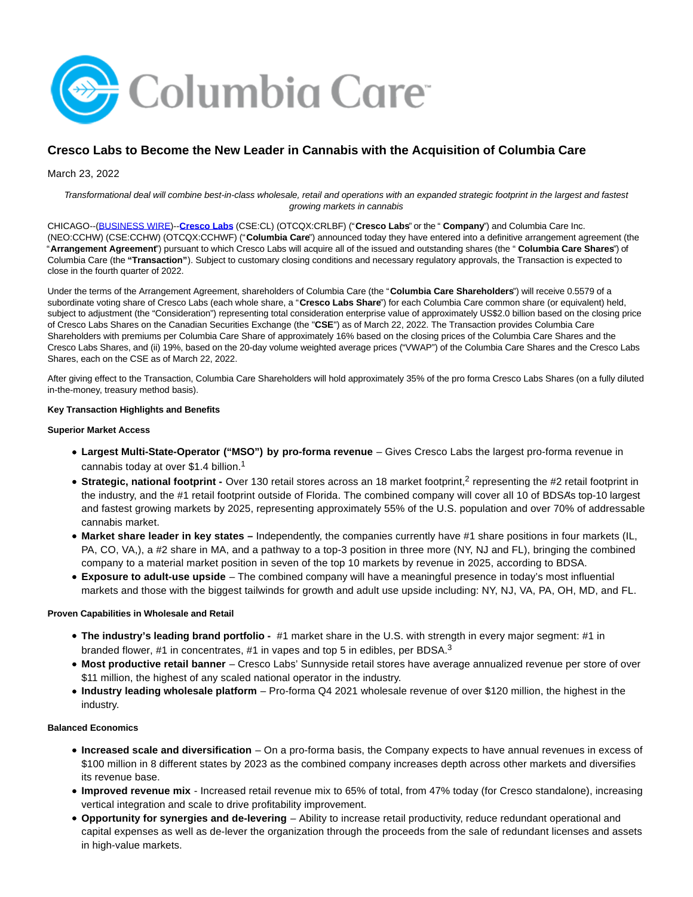

# **Cresco Labs to Become the New Leader in Cannabis with the Acquisition of Columbia Care**

# March 23, 2022

Transformational deal will combine best-in-class wholesale, retail and operations with an expanded strategic footprint in the largest and fastest growing markets in cannabis

CHICAGO--[\(BUSINESS WIRE\)-](https://www.businesswire.com/)-**[Cresco Labs](https://cts.businesswire.com/ct/CT?id=smartlink&url=https%3A%2F%2Fwww.crescolabs.com%2F&esheet=52616146&newsitemid=20220323005424&lan=en-US&anchor=Cresco+Labs&index=1&md5=2e817f770954a0d9f2e98c62b6fbacdc)** (CSE:CL) (OTCQX:CRLBF) ("**Cresco Labs**" or the " **Company**") and Columbia Care Inc. (NEO:CCHW) (CSE:CCHW) (OTCQX:CCHWF) ("**Columbia Care**") announced today they have entered into a definitive arrangement agreement (the "**Arrangement Agreement**") pursuant to which Cresco Labs will acquire all of the issued and outstanding shares (the " **Columbia Care Shares**") of Columbia Care (the **"Transaction"**). Subject to customary closing conditions and necessary regulatory approvals, the Transaction is expected to close in the fourth quarter of 2022.

Under the terms of the Arrangement Agreement, shareholders of Columbia Care (the "**Columbia Care Shareholders**") will receive 0.5579 of a subordinate voting share of Cresco Labs (each whole share, a "**Cresco Labs Share**") for each Columbia Care common share (or equivalent) held. subject to adjustment (the "Consideration") representing total consideration enterprise value of approximately US\$2.0 billion based on the closing price of Cresco Labs Shares on the Canadian Securities Exchange (the "**CSE**") as of March 22, 2022. The Transaction provides Columbia Care Shareholders with premiums per Columbia Care Share of approximately 16% based on the closing prices of the Columbia Care Shares and the Cresco Labs Shares, and (ii) 19%, based on the 20-day volume weighted average prices ("VWAP") of the Columbia Care Shares and the Cresco Labs Shares, each on the CSE as of March 22, 2022.

After giving effect to the Transaction, Columbia Care Shareholders will hold approximately 35% of the pro forma Cresco Labs Shares (on a fully diluted in-the-money, treasury method basis).

# **Key Transaction Highlights and Benefits**

#### **Superior Market Access**

- **Largest Multi-State-Operator ("MSO") by pro-forma revenue** Gives Cresco Labs the largest pro-forma revenue in cannabis today at over \$1.4 billion.<sup>1</sup>
- Strategic, national footprint Over 130 retail stores across an 18 market footprint,<sup>2</sup> representing the #2 retail footprint in the industry, and the #1 retail footprint outside of Florida. The combined company will cover all 10 of BDSA's top-10 largest and fastest growing markets by 2025, representing approximately 55% of the U.S. population and over 70% of addressable cannabis market.
- **Market share leader in key states –** Independently, the companies currently have #1 share positions in four markets (IL, PA, CO, VA,), a #2 share in MA, and a pathway to a top-3 position in three more (NY, NJ and FL), bringing the combined company to a material market position in seven of the top 10 markets by revenue in 2025, according to BDSA.
- **Exposure to adult-use upside** The combined company will have a meaningful presence in today's most influential markets and those with the biggest tailwinds for growth and adult use upside including: NY, NJ, VA, PA, OH, MD, and FL.

## **Proven Capabilities in Wholesale and Retail**

- **The industry's leading brand portfolio -** #1 market share in the U.S. with strength in every major segment: #1 in branded flower, #1 in concentrates, #1 in vapes and top 5 in edibles, per BDSA.<sup>3</sup>
- **Most productive retail banner** Cresco Labs' Sunnyside retail stores have average annualized revenue per store of over \$11 million, the highest of any scaled national operator in the industry.
- **Industry leading wholesale platform** Pro-forma Q4 2021 wholesale revenue of over \$120 million, the highest in the industry.

# **Balanced Economics**

- **Increased scale and diversification** On a pro-forma basis, the Company expects to have annual revenues in excess of \$100 million in 8 different states by 2023 as the combined company increases depth across other markets and diversifies its revenue base.
- **Improved revenue mix** Increased retail revenue mix to 65% of total, from 47% today (for Cresco standalone), increasing vertical integration and scale to drive profitability improvement.
- **Opportunity for synergies and de-levering** Ability to increase retail productivity, reduce redundant operational and capital expenses as well as de-lever the organization through the proceeds from the sale of redundant licenses and assets in high-value markets.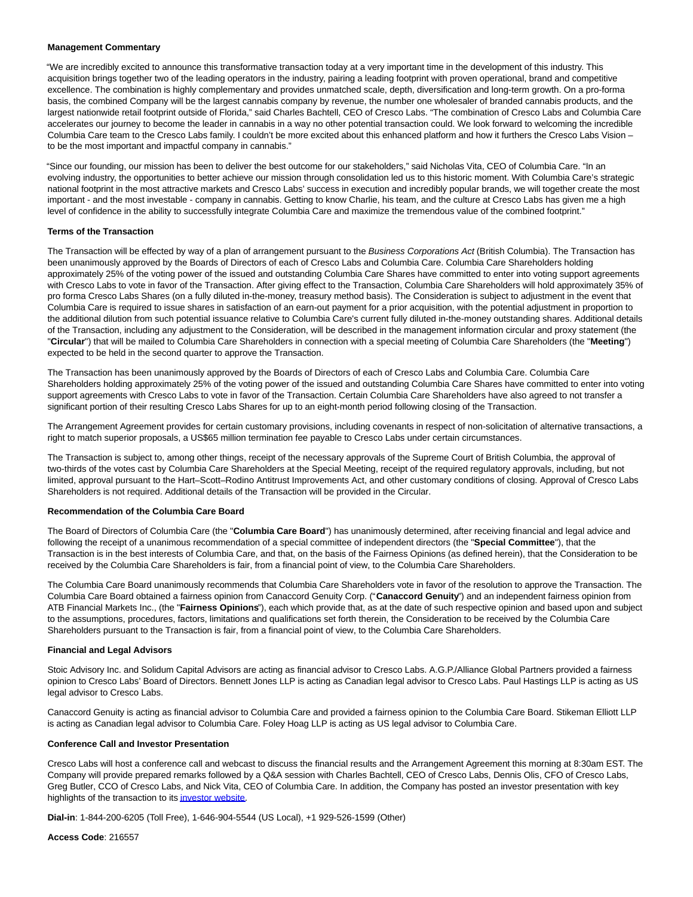#### **Management Commentary**

"We are incredibly excited to announce this transformative transaction today at a very important time in the development of this industry. This acquisition brings together two of the leading operators in the industry, pairing a leading footprint with proven operational, brand and competitive excellence. The combination is highly complementary and provides unmatched scale, depth, diversification and long-term growth. On a pro-forma basis, the combined Company will be the largest cannabis company by revenue, the number one wholesaler of branded cannabis products, and the largest nationwide retail footprint outside of Florida," said Charles Bachtell, CEO of Cresco Labs. "The combination of Cresco Labs and Columbia Care accelerates our journey to become the leader in cannabis in a way no other potential transaction could. We look forward to welcoming the incredible Columbia Care team to the Cresco Labs family. I couldn't be more excited about this enhanced platform and how it furthers the Cresco Labs Vision – to be the most important and impactful company in cannabis."

"Since our founding, our mission has been to deliver the best outcome for our stakeholders," said Nicholas Vita, CEO of Columbia Care. "In an evolving industry, the opportunities to better achieve our mission through consolidation led us to this historic moment. With Columbia Care's strategic national footprint in the most attractive markets and Cresco Labs' success in execution and incredibly popular brands, we will together create the most important - and the most investable - company in cannabis. Getting to know Charlie, his team, and the culture at Cresco Labs has given me a high level of confidence in the ability to successfully integrate Columbia Care and maximize the tremendous value of the combined footprint."

#### **Terms of the Transaction**

The Transaction will be effected by way of a plan of arrangement pursuant to the Business Corporations Act (British Columbia). The Transaction has been unanimously approved by the Boards of Directors of each of Cresco Labs and Columbia Care. Columbia Care Shareholders holding approximately 25% of the voting power of the issued and outstanding Columbia Care Shares have committed to enter into voting support agreements with Cresco Labs to vote in favor of the Transaction. After giving effect to the Transaction, Columbia Care Shareholders will hold approximately 35% of pro forma Cresco Labs Shares (on a fully diluted in-the-money, treasury method basis). The Consideration is subject to adjustment in the event that Columbia Care is required to issue shares in satisfaction of an earn-out payment for a prior acquisition, with the potential adjustment in proportion to the additional dilution from such potential issuance relative to Columbia Care's current fully diluted in-the-money outstanding shares. Additional details of the Transaction, including any adjustment to the Consideration, will be described in the management information circular and proxy statement (the "**Circular**") that will be mailed to Columbia Care Shareholders in connection with a special meeting of Columbia Care Shareholders (the "**Meeting**") expected to be held in the second quarter to approve the Transaction.

The Transaction has been unanimously approved by the Boards of Directors of each of Cresco Labs and Columbia Care. Columbia Care Shareholders holding approximately 25% of the voting power of the issued and outstanding Columbia Care Shares have committed to enter into voting support agreements with Cresco Labs to vote in favor of the Transaction. Certain Columbia Care Shareholders have also agreed to not transfer a significant portion of their resulting Cresco Labs Shares for up to an eight-month period following closing of the Transaction.

The Arrangement Agreement provides for certain customary provisions, including covenants in respect of non-solicitation of alternative transactions, a right to match superior proposals, a US\$65 million termination fee payable to Cresco Labs under certain circumstances.

The Transaction is subject to, among other things, receipt of the necessary approvals of the Supreme Court of British Columbia, the approval of two-thirds of the votes cast by Columbia Care Shareholders at the Special Meeting, receipt of the required regulatory approvals, including, but not limited, approval pursuant to the Hart–Scott–Rodino Antitrust Improvements Act, and other customary conditions of closing. Approval of Cresco Labs Shareholders is not required. Additional details of the Transaction will be provided in the Circular.

#### **Recommendation of the Columbia Care Board**

The Board of Directors of Columbia Care (the "**Columbia Care Board**") has unanimously determined, after receiving financial and legal advice and following the receipt of a unanimous recommendation of a special committee of independent directors (the "**Special Committee**"), that the Transaction is in the best interests of Columbia Care, and that, on the basis of the Fairness Opinions (as defined herein), that the Consideration to be received by the Columbia Care Shareholders is fair, from a financial point of view, to the Columbia Care Shareholders.

The Columbia Care Board unanimously recommends that Columbia Care Shareholders vote in favor of the resolution to approve the Transaction. The Columbia Care Board obtained a fairness opinion from Canaccord Genuity Corp. ("**Canaccord Genuity**") and an independent fairness opinion from ATB Financial Markets Inc., (the "**Fairness Opinions**"), each which provide that, as at the date of such respective opinion and based upon and subject to the assumptions, procedures, factors, limitations and qualifications set forth therein, the Consideration to be received by the Columbia Care Shareholders pursuant to the Transaction is fair, from a financial point of view, to the Columbia Care Shareholders.

#### **Financial and Legal Advisors**

Stoic Advisory Inc. and Solidum Capital Advisors are acting as financial advisor to Cresco Labs. A.G.P./Alliance Global Partners provided a fairness opinion to Cresco Labs' Board of Directors. Bennett Jones LLP is acting as Canadian legal advisor to Cresco Labs. Paul Hastings LLP is acting as US legal advisor to Cresco Labs.

Canaccord Genuity is acting as financial advisor to Columbia Care and provided a fairness opinion to the Columbia Care Board. Stikeman Elliott LLP is acting as Canadian legal advisor to Columbia Care. Foley Hoag LLP is acting as US legal advisor to Columbia Care.

#### **Conference Call and Investor Presentation**

Cresco Labs will host a conference call and webcast to discuss the financial results and the Arrangement Agreement this morning at 8:30am EST. The Company will provide prepared remarks followed by a Q&A session with Charles Bachtell, CEO of Cresco Labs, Dennis Olis, CFO of Cresco Labs, Greg Butler, CCO of Cresco Labs, and Nick Vita, CEO of Columbia Care. In addition, the Company has posted an investor presentation with key highlights of the transaction to its [investor website.](https://cts.businesswire.com/ct/CT?id=smartlink&url=https%3A%2F%2Finvestors.crescolabs.com%2Finvestors%2Fevents-and-presentations%2Fdefault.aspx&esheet=52616146&newsitemid=20220323005424&lan=en-US&anchor=investor+website&index=2&md5=17b2054c4ccb9b2db5f03708a71178f1)

**Dial-in**: 1-844-200-6205 (Toll Free), 1-646-904-5544 (US Local), +1 929-526-1599 (Other)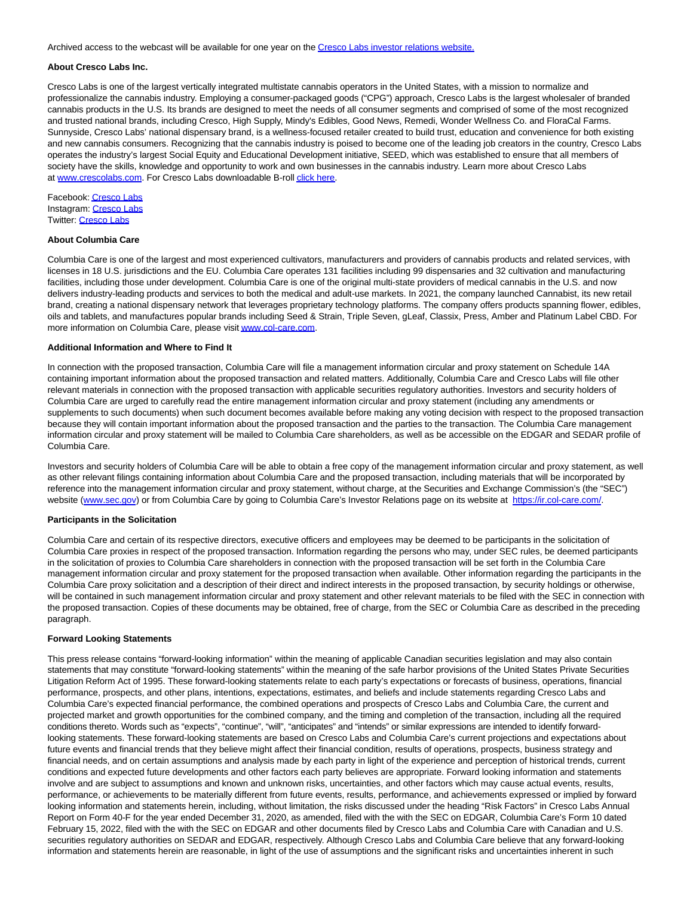Archived access to the webcast will be available for one year on the [Cresco Labs investor relations website.](https://cts.businesswire.com/ct/CT?id=smartlink&url=https%3A%2F%2Finvestors.crescolabs.com%2Finvestors%2Foverview%2Fdefault.aspx&esheet=52616146&newsitemid=20220323005424&lan=en-US&anchor=Cresco+Labs+investor+relations+website.&index=3&md5=ba5d6e6a64108f775a2f6be3e111476e)

#### **About Cresco Labs Inc.**

Cresco Labs is one of the largest vertically integrated multistate cannabis operators in the United States, with a mission to normalize and professionalize the cannabis industry. Employing a consumer-packaged goods ("CPG") approach, Cresco Labs is the largest wholesaler of branded cannabis products in the U.S. Its brands are designed to meet the needs of all consumer segments and comprised of some of the most recognized and trusted national brands, including Cresco, High Supply, Mindy's Edibles, Good News, Remedi, Wonder Wellness Co. and FloraCal Farms. Sunnyside, Cresco Labs' national dispensary brand, is a wellness-focused retailer created to build trust, education and convenience for both existing and new cannabis consumers. Recognizing that the cannabis industry is poised to become one of the leading job creators in the country, Cresco Labs operates the industry's largest Social Equity and Educational Development initiative, SEED, which was established to ensure that all members of society have the skills, knowledge and opportunity to work and own businesses in the cannabis industry. Learn more about Cresco Labs at [www.crescolabs.com.](https://cts.businesswire.com/ct/CT?id=smartlink&url=http%3A%2F%2Fwww.crescolabs.com&esheet=52616146&newsitemid=20220323005424&lan=en-US&anchor=www.crescolabs.com&index=4&md5=608af7f75bbe6f8d20f531b3099baa64) For Cresco Labs downloadable B-roll [click here.](https://cts.businesswire.com/ct/CT?id=smartlink&url=https%3A%2F%2Fvimeo.com%2F691133088&esheet=52616146&newsitemid=20220323005424&lan=en-US&anchor=click+here&index=5&md5=b5fedd5ffd31057e250e9406aa9e2513)

Facebook: [Cresco Labs](https://cts.businesswire.com/ct/CT?id=smartlink&url=https%3A%2F%2Fwww.facebook.com%2FCrescoLabsOfficial&esheet=52616146&newsitemid=20220323005424&lan=en-US&anchor=Cresco+Labs&index=6&md5=ec8831ff8f627e1716743afce82c2fb9) Instagram: [Cresco Labs](https://cts.businesswire.com/ct/CT?id=smartlink&url=https%3A%2F%2Fwww.instagram.com%2Fcrescolabs%2F%3Fhl%3Den&esheet=52616146&newsitemid=20220323005424&lan=en-US&anchor=Cresco+Labs&index=7&md5=f3578f8399593fadd65c47ff4ae66d01) Twitter: [Cresco Labs](https://cts.businesswire.com/ct/CT?id=smartlink&url=https%3A%2F%2Ftwitter.com%2Fcrescolabs%3Flang%3Den&esheet=52616146&newsitemid=20220323005424&lan=en-US&anchor=Cresco+Labs&index=8&md5=541e4d046cd3084f7bebd91dfc9337f3)

#### **About Columbia Care**

Columbia Care is one of the largest and most experienced cultivators, manufacturers and providers of cannabis products and related services, with licenses in 18 U.S. jurisdictions and the EU. Columbia Care operates 131 facilities including 99 dispensaries and 32 cultivation and manufacturing facilities, including those under development. Columbia Care is one of the original multi-state providers of medical cannabis in the U.S. and now delivers industry-leading products and services to both the medical and adult-use markets. In 2021, the company launched Cannabist, its new retail brand, creating a national dispensary network that leverages proprietary technology platforms. The company offers products spanning flower, edibles, oils and tablets, and manufactures popular brands including Seed & Strain, Triple Seven, gLeaf, Classix, Press, Amber and Platinum Label CBD. For more information on Columbia Care, please visit [www.col-care.com.](https://cts.businesswire.com/ct/CT?id=smartlink&url=http%3A%2F%2Fwww.col-care.com&esheet=52616146&newsitemid=20220323005424&lan=en-US&anchor=www.col-care.com&index=9&md5=4a13b21a8ea4902d73ef99c0af0f45ee)

## **Additional Information and Where to Find It**

In connection with the proposed transaction, Columbia Care will file a management information circular and proxy statement on Schedule 14A containing important information about the proposed transaction and related matters. Additionally, Columbia Care and Cresco Labs will file other relevant materials in connection with the proposed transaction with applicable securities regulatory authorities. Investors and security holders of Columbia Care are urged to carefully read the entire management information circular and proxy statement (including any amendments or supplements to such documents) when such document becomes available before making any voting decision with respect to the proposed transaction because they will contain important information about the proposed transaction and the parties to the transaction. The Columbia Care management information circular and proxy statement will be mailed to Columbia Care shareholders, as well as be accessible on the EDGAR and SEDAR profile of Columbia Care.

Investors and security holders of Columbia Care will be able to obtain a free copy of the management information circular and proxy statement, as well as other relevant filings containing information about Columbia Care and the proposed transaction, including materials that will be incorporated by reference into the management information circular and proxy statement, without charge, at the Securities and Exchange Commission's (the "SEC") website [\(www.sec.gov\)](https://cts.businesswire.com/ct/CT?id=smartlink&url=http%3A%2F%2Fwww.sec.gov&esheet=52616146&newsitemid=20220323005424&lan=en-US&anchor=www.sec.gov&index=10&md5=0831c8de35bb7c6049503c7dd2517645) or from Columbia Care by going to Columbia Care's Investor Relations page on its website at [https://ir.col-care.com/.](https://cts.businesswire.com/ct/CT?id=smartlink&url=https%3A%2F%2Fir.col-care.com%2F&esheet=52616146&newsitemid=20220323005424&lan=en-US&anchor=https%3A%2F%2Fir.col-care.com%2F&index=11&md5=9ce05bb56ff9b63df9b50ab565288788)

#### **Participants in the Solicitation**

Columbia Care and certain of its respective directors, executive officers and employees may be deemed to be participants in the solicitation of Columbia Care proxies in respect of the proposed transaction. Information regarding the persons who may, under SEC rules, be deemed participants in the solicitation of proxies to Columbia Care shareholders in connection with the proposed transaction will be set forth in the Columbia Care management information circular and proxy statement for the proposed transaction when available. Other information regarding the participants in the Columbia Care proxy solicitation and a description of their direct and indirect interests in the proposed transaction, by security holdings or otherwise, will be contained in such management information circular and proxy statement and other relevant materials to be filed with the SEC in connection with the proposed transaction. Copies of these documents may be obtained, free of charge, from the SEC or Columbia Care as described in the preceding paragraph.

#### **Forward Looking Statements**

This press release contains "forward-looking information" within the meaning of applicable Canadian securities legislation and may also contain statements that may constitute "forward-looking statements" within the meaning of the safe harbor provisions of the United States Private Securities Litigation Reform Act of 1995. These forward-looking statements relate to each party's expectations or forecasts of business, operations, financial performance, prospects, and other plans, intentions, expectations, estimates, and beliefs and include statements regarding Cresco Labs and Columbia Care's expected financial performance, the combined operations and prospects of Cresco Labs and Columbia Care, the current and projected market and growth opportunities for the combined company, and the timing and completion of the transaction, including all the required conditions thereto. Words such as "expects", "continue", "will", "anticipates" and "intends" or similar expressions are intended to identify forwardlooking statements. These forward-looking statements are based on Cresco Labs and Columbia Care's current projections and expectations about future events and financial trends that they believe might affect their financial condition, results of operations, prospects, business strategy and financial needs, and on certain assumptions and analysis made by each party in light of the experience and perception of historical trends, current conditions and expected future developments and other factors each party believes are appropriate. Forward looking information and statements involve and are subject to assumptions and known and unknown risks, uncertainties, and other factors which may cause actual events, results, performance, or achievements to be materially different from future events, results, performance, and achievements expressed or implied by forward looking information and statements herein, including, without limitation, the risks discussed under the heading "Risk Factors" in Cresco Labs Annual Report on Form 40-F for the year ended December 31, 2020, as amended, filed with the with the SEC on EDGAR, Columbia Care's Form 10 dated February 15, 2022, filed with the with the SEC on EDGAR and other documents filed by Cresco Labs and Columbia Care with Canadian and U.S. securities regulatory authorities on SEDAR and EDGAR, respectively. Although Cresco Labs and Columbia Care believe that any forward-looking information and statements herein are reasonable, in light of the use of assumptions and the significant risks and uncertainties inherent in such